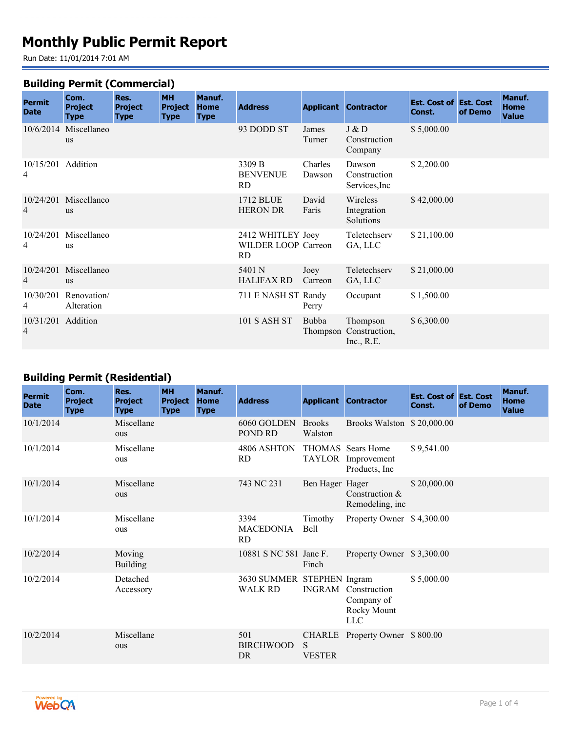# **Monthly Public Permit Report**

Run Date: 11/01/2014 7:01 AM

#### **Building Permit (Commercial)**

| <b>Permit</b><br><b>Date</b> | Com.<br><b>Project</b><br><b>Type</b> | Res.<br><b>Project</b><br><b>Type</b> | <b>MH</b><br><b>Project</b><br><b>Type</b> | Manuf.<br><b>Home</b><br><b>Type</b> | <b>Address</b>                                  |                   | <b>Applicant Contractor</b>              | <b>Est. Cost of Est. Cost</b><br>Const. | of Demo | Manuf.<br><b>Home</b><br><b>Value</b> |  |
|------------------------------|---------------------------------------|---------------------------------------|--------------------------------------------|--------------------------------------|-------------------------------------------------|-------------------|------------------------------------------|-----------------------------------------|---------|---------------------------------------|--|
|                              | 10/6/2014 Miscellaneo<br>us           |                                       |                                            |                                      | 93 DODD ST                                      | James<br>Turner   | J & D<br>Construction<br>Company         | \$5,000.00                              |         |                                       |  |
| 10/15/201 Addition<br>4      |                                       |                                       |                                            |                                      | 3309 B<br><b>BENVENUE</b><br>RD                 | Charles<br>Dawson | Dawson<br>Construction<br>Services, Inc. | \$2,200.00                              |         |                                       |  |
| 10/24/201<br>4               | Miscellaneo<br><b>us</b>              |                                       |                                            |                                      | 1712 BLUE<br><b>HERON DR</b>                    | David<br>Faris    | Wireless<br>Integration<br>Solutions     | \$42,000.00                             |         |                                       |  |
| 10/24/201<br>4               | Miscellaneo<br><b>us</b>              |                                       |                                            |                                      | 2412 WHITLEY Joey<br>WILDER LOOP Carreon<br>RD. |                   | Teletechserv<br>GA, LLC                  | \$21,100.00                             |         |                                       |  |
| 10/24/201<br>4               | Miscellaneo<br><b>us</b>              |                                       |                                            |                                      | 5401 N<br>HALIFAX RD                            | Joey<br>Carreon   | Teletechserv<br>GA, LLC                  | \$21,000.00                             |         |                                       |  |
| 10/30/201<br>4               | Renovation/<br>Alteration             |                                       |                                            |                                      | 711 E NASH ST Randy                             | Perry             | Occupant                                 | \$1,500.00                              |         |                                       |  |
| 10/31/201 Addition<br>4      |                                       |                                       |                                            |                                      | <b>101 S ASH ST</b>                             | Bubba<br>Thompson | Thompson<br>Construction,<br>Inc., R.E.  | \$6,300.00                              |         |                                       |  |

## **Building Permit (Residential)**

| <b>Permit</b><br><b>Date</b> | Com.<br><b>Project</b><br><b>Type</b> | Res.<br><b>Project</b><br><b>Type</b> | <b>MH</b><br><b>Project</b><br><b>Type</b> | Manuf.<br><b>Home</b><br><b>Type</b> | <b>Address</b>                               |                          | <b>Applicant Contractor</b>                                           | <b>Est. Cost of Est. Cost</b><br>Const. | of Demo | Manuf.<br>Home<br><b>Value</b> |
|------------------------------|---------------------------------------|---------------------------------------|--------------------------------------------|--------------------------------------|----------------------------------------------|--------------------------|-----------------------------------------------------------------------|-----------------------------------------|---------|--------------------------------|
| 10/1/2014                    |                                       | Miscellane<br>ous                     |                                            |                                      | 6060 GOLDEN<br>POND RD                       | <b>Brooks</b><br>Walston | Brooks Walston \$20,000.00                                            |                                         |         |                                |
| 10/1/2014                    |                                       | Miscellane<br>ous                     |                                            |                                      | 4806 ASHTON<br><b>RD</b>                     |                          | THOMAS Sears Home<br>TAYLOR Improvement<br>Products, Inc.             | \$9,541.00                              |         |                                |
| 10/1/2014                    |                                       | Miscellane<br>ous                     |                                            |                                      | 743 NC 231                                   | Ben Hager Hager          | Construction &<br>Remodeling, inc                                     | \$20,000.00                             |         |                                |
| 10/1/2014                    |                                       | Miscellane<br>ous                     |                                            |                                      | 3394<br><b>MACEDONIA</b><br><b>RD</b>        | Timothy<br><b>Bell</b>   | Property Owner \$4,300.00                                             |                                         |         |                                |
| 10/2/2014                    |                                       | Moving<br><b>Building</b>             |                                            |                                      | 10881 S NC 581 Jane F.                       | Finch                    | Property Owner \$3,300.00                                             |                                         |         |                                |
| 10/2/2014                    |                                       | Detached<br>Accessory                 |                                            |                                      | 3630 SUMMER STEPHEN Ingram<br><b>WALK RD</b> |                          | <b>INGRAM</b> Construction<br>Company of<br>Rocky Mount<br><b>LLC</b> | \$5,000.00                              |         |                                |
| 10/2/2014                    |                                       | Miscellane<br>ous                     |                                            |                                      | 501<br><b>BIRCHWOOD</b><br><b>DR</b>         | S.<br><b>VESTER</b>      | CHARLE Property Owner \$800.00                                        |                                         |         |                                |

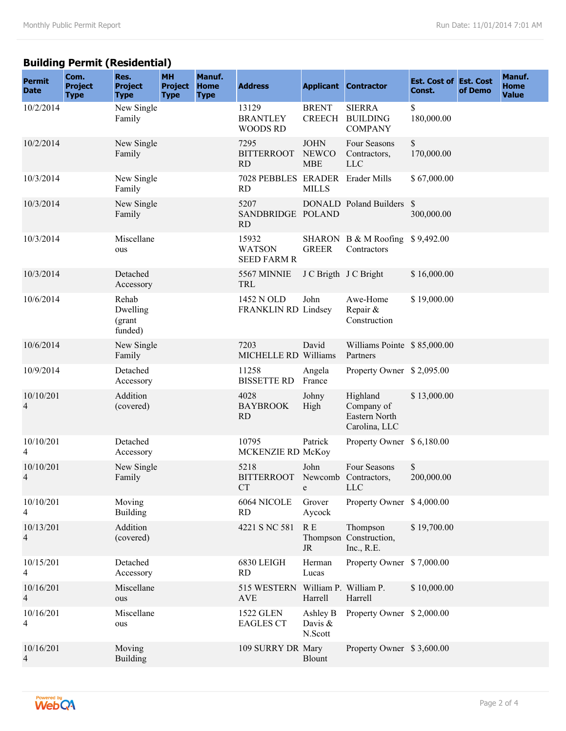### **Building Permit (Residential)**

| <b>Permit</b><br><b>Date</b> | Com.<br><b>Project</b><br><b>Type</b> | Res.<br><b>Project</b><br><b>Type</b>  | <b>MH</b><br><b>Project</b><br><b>Type</b> | Manuf.<br><b>Home</b><br><b>Type</b> | <b>Address</b>                                |                                           | <b>Applicant Contractor</b>                              | <b>Est. Cost of Est. Cost</b><br>Const. | of Demo | Manuf.<br>Home<br><b>Value</b> |
|------------------------------|---------------------------------------|----------------------------------------|--------------------------------------------|--------------------------------------|-----------------------------------------------|-------------------------------------------|----------------------------------------------------------|-----------------------------------------|---------|--------------------------------|
| 10/2/2014                    |                                       | New Single<br>Family                   |                                            |                                      | 13129<br><b>BRANTLEY</b><br><b>WOODS RD</b>   | <b>BRENT</b><br><b>CREECH</b>             | <b>SIERRA</b><br><b>BUILDING</b><br><b>COMPANY</b>       | \$<br>180,000.00                        |         |                                |
| 10/2/2014                    |                                       | New Single<br>Family                   |                                            |                                      | 7295<br><b>BITTERROOT</b><br><b>RD</b>        | <b>JOHN</b><br><b>NEWCO</b><br><b>MBE</b> | Four Seasons<br>Contractors,<br><b>LLC</b>               | \$<br>170,000.00                        |         |                                |
| 10/3/2014                    |                                       | New Single<br>Family                   |                                            |                                      | 7028 PEBBLES ERADER Erader Mills<br><b>RD</b> | <b>MILLS</b>                              |                                                          | \$67,000.00                             |         |                                |
| 10/3/2014                    |                                       | New Single<br>Family                   |                                            |                                      | 5207<br>SANDBRIDGE POLAND<br><b>RD</b>        |                                           | DONALD Poland Builders \$                                | 300,000.00                              |         |                                |
| 10/3/2014                    |                                       | Miscellane<br>ous                      |                                            |                                      | 15932<br><b>WATSON</b><br><b>SEED FARM R</b>  | <b>GREER</b>                              | SHARON B & M Roofing<br>Contractors                      | \$9,492.00                              |         |                                |
| 10/3/2014                    |                                       | Detached<br>Accessory                  |                                            |                                      | 5567 MINNIE<br><b>TRL</b>                     | J C Brigth J C Bright                     |                                                          | \$16,000.00                             |         |                                |
| 10/6/2014                    |                                       | Rehab<br>Dwelling<br>(grant<br>funded) |                                            |                                      | 1452 N OLD<br>FRANKLIN RD Lindsey             | John                                      | Awe-Home<br>Repair &<br>Construction                     | \$19,000.00                             |         |                                |
| 10/6/2014                    |                                       | New Single<br>Family                   |                                            |                                      | 7203<br>MICHELLE RD Williams                  | David                                     | Williams Pointe \$85,000.00<br>Partners                  |                                         |         |                                |
| 10/9/2014                    |                                       | Detached<br>Accessory                  |                                            |                                      | 11258<br><b>BISSETTE RD</b>                   | Angela<br>France                          | Property Owner \$2,095.00                                |                                         |         |                                |
| 10/10/201<br>$\overline{4}$  |                                       | Addition<br>(covered)                  |                                            |                                      | 4028<br><b>BAYBROOK</b><br><b>RD</b>          | Johny<br>High                             | Highland<br>Company of<br>Eastern North<br>Carolina, LLC | \$13,000.00                             |         |                                |
| 10/10/201<br>4               |                                       | Detached<br>Accessory                  |                                            |                                      | 10795<br>MCKENZIE RD McKoy                    | Patrick                                   | Property Owner \$ 6,180.00                               |                                         |         |                                |
| 10/10/201<br>$\overline{4}$  |                                       | New Single<br>Family                   |                                            |                                      | 5218<br><b>BITTERROOT</b><br>CT               | John<br>e                                 | Four Seasons<br>Newcomb Contractors,<br><b>LLC</b>       | \$<br>200,000.00                        |         |                                |
| 10/10/201<br>4               |                                       | Moving<br><b>Building</b>              |                                            |                                      | 6064 NICOLE<br><b>RD</b>                      | Grover<br>Aycock                          | Property Owner \$4,000.00                                |                                         |         |                                |
| 10/13/201<br>4               |                                       | Addition<br>(covered)                  |                                            |                                      | 4221 S NC 581                                 | R E<br>$\rm JR$                           | Thompson<br>Thompson Construction,<br>Inc., R.E.         | \$19,700.00                             |         |                                |
| 10/15/201<br>$\overline{4}$  |                                       | Detached<br>Accessory                  |                                            |                                      | 6830 LEIGH<br>RD                              | Herman<br>Lucas                           | Property Owner \$7,000.00                                |                                         |         |                                |
| 10/16/201<br>$\overline{4}$  |                                       | Miscellane<br>ous                      |                                            |                                      | 515 WESTERN<br><b>AVE</b>                     | William P. William P.<br>Harrell          | Harrell                                                  | \$10,000.00                             |         |                                |
| 10/16/201<br>4               |                                       | Miscellane<br>ous                      |                                            |                                      | <b>1522 GLEN</b><br><b>EAGLES CT</b>          | Ashley B<br>Davis &<br>N.Scott            | Property Owner \$2,000.00                                |                                         |         |                                |
| 10/16/201<br>$\overline{4}$  |                                       | Moving<br><b>Building</b>              |                                            |                                      | 109 SURRY DR Mary                             | <b>Blount</b>                             | Property Owner \$3,600.00                                |                                         |         |                                |

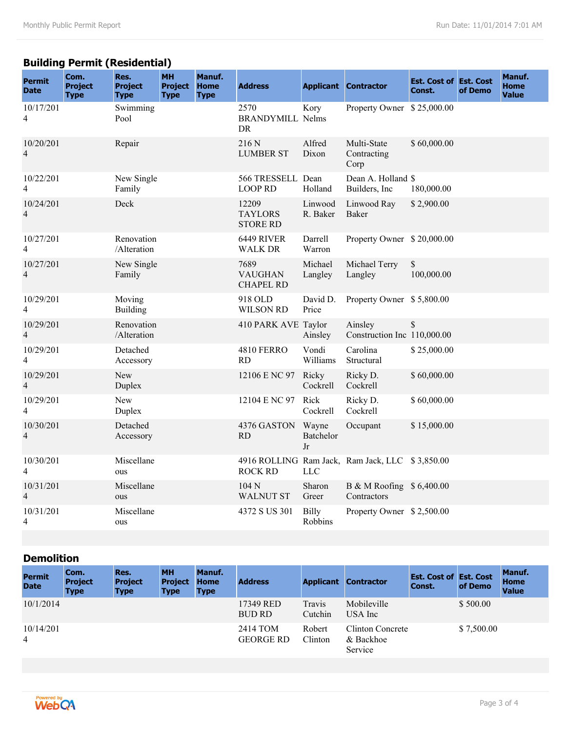## **Building Permit (Residential)**

| <b>Permit</b><br><b>Date</b> | Com.<br><b>Project</b><br><b>Type</b> | Res.<br><b>Project</b><br><b>Type</b> | <b>MH</b><br><b>Project</b><br><b>Type</b> | Manuf.<br><b>Home</b><br><b>Type</b> | <b>Address</b>                             |                                | <b>Applicant Contractor</b>                     | <b>Est. Cost of Est. Cost</b><br>Const. | of Demo | Manuf.<br><b>Home</b><br><b>Value</b> |
|------------------------------|---------------------------------------|---------------------------------------|--------------------------------------------|--------------------------------------|--------------------------------------------|--------------------------------|-------------------------------------------------|-----------------------------------------|---------|---------------------------------------|
| 10/17/201<br>4               |                                       | Swimming<br>Pool                      |                                            |                                      | 2570<br><b>BRANDYMILL Nelms</b><br>DR      | Kory                           | Property Owner \$25,000.00                      |                                         |         |                                       |
| 10/20/201<br>$\overline{4}$  |                                       | Repair                                |                                            |                                      | 216 N<br><b>LUMBER ST</b>                  | Alfred<br>Dixon                | Multi-State<br>Contracting<br>Corp              | \$60,000.00                             |         |                                       |
| 10/22/201<br>4               |                                       | New Single<br>Family                  |                                            |                                      | 566 TRESSELL Dean<br><b>LOOP RD</b>        | Holland                        | Dean A. Holland \$<br>Builders, Inc.            | 180,000.00                              |         |                                       |
| 10/24/201<br>$\overline{4}$  |                                       | Deck                                  |                                            |                                      | 12209<br><b>TAYLORS</b><br><b>STORE RD</b> | Linwood<br>R. Baker            | Linwood Ray<br>Baker                            | \$2,900.00                              |         |                                       |
| 10/27/201<br>4               |                                       | Renovation<br>/Alteration             |                                            |                                      | 6449 RIVER<br>WALK DR                      | Darrell<br>Warron              | Property Owner \$20,000.00                      |                                         |         |                                       |
| 10/27/201<br>4               |                                       | New Single<br>Family                  |                                            |                                      | 7689<br><b>VAUGHAN</b><br><b>CHAPEL RD</b> | Michael<br>Langley             | Michael Terry<br>Langley                        | \$<br>100,000.00                        |         |                                       |
| 10/29/201<br>$\overline{4}$  |                                       | Moving<br><b>Building</b>             |                                            |                                      | 918 OLD<br><b>WILSON RD</b>                | David D.<br>Price              | Property Owner \$5,800.00                       |                                         |         |                                       |
| 10/29/201<br>4               |                                       | Renovation<br>/Alteration             |                                            |                                      | 410 PARK AVE Taylor                        | Ainsley                        | Ainsley<br>Construction Inc 110,000.00          | \$                                      |         |                                       |
| 10/29/201<br>4               |                                       | Detached<br>Accessory                 |                                            |                                      | <b>4810 FERRO</b><br><b>RD</b>             | Vondi<br>Williams              | Carolina<br>Structural                          | \$25,000.00                             |         |                                       |
| 10/29/201<br>4               |                                       | <b>New</b><br>Duplex                  |                                            |                                      | 12106 E NC 97                              | Ricky<br>Cockrell              | Ricky D.<br>Cockrell                            | \$60,000.00                             |         |                                       |
| 10/29/201<br>4               |                                       | New<br>Duplex                         |                                            |                                      | 12104 E NC 97                              | Rick<br>Cockrell               | Ricky D.<br>Cockrell                            | \$60,000.00                             |         |                                       |
| 10/30/201<br>$\overline{4}$  |                                       | Detached<br>Accessory                 |                                            |                                      | 4376 GASTON<br><b>RD</b>                   | Wayne<br>Batchelor<br>Jr       | Occupant                                        | \$15,000.00                             |         |                                       |
| 10/30/201<br>4               |                                       | Miscellane<br>ous                     |                                            |                                      | <b>ROCK RD</b>                             | <b>LLC</b>                     | 4916 ROLLING Ram Jack, Ram Jack, LLC \$3,850.00 |                                         |         |                                       |
| 10/31/201<br>$\overline{4}$  |                                       | Miscellane<br>ous                     |                                            |                                      | 104 <sub>N</sub><br><b>WALNUT ST</b>       | Sharon<br>Greer                | B & M Roofing \$ 6,400.00<br>Contractors        |                                         |         |                                       |
| 10/31/201<br>4               |                                       | Miscellane<br>ous                     |                                            |                                      | 4372 S US 301                              | <b>Billy</b><br><b>Robbins</b> | Property Owner \$2,500.00                       |                                         |         |                                       |

#### **Demolition**

| <b>Permit</b><br><b>Date</b> | Com.<br><b>Project</b><br><b>Type</b> | Res.<br><b>Project</b><br><b>Type</b> | <b>MH</b><br><b>Project</b><br><b>Type</b> | Manuf.<br><b>Home</b><br><b>Type</b> | <b>Address</b>               | <b>Applicant</b>  | <b>Contractor</b>                        | <b>Est. Cost of Est. Cost</b><br>Const. | of Demo    | <b>Manuf.</b><br>Home<br><b>Value</b> |  |
|------------------------------|---------------------------------------|---------------------------------------|--------------------------------------------|--------------------------------------|------------------------------|-------------------|------------------------------------------|-----------------------------------------|------------|---------------------------------------|--|
| 10/1/2014                    |                                       |                                       |                                            |                                      | 17349 RED<br><b>BUD RD</b>   | Travis<br>Cutchin | Mobileville<br>USA Inc                   |                                         | \$500.00   |                                       |  |
| 10/14/201<br>4               |                                       |                                       |                                            |                                      | 2414 TOM<br><b>GEORGE RD</b> | Robert<br>Clinton | Clinton Concrete<br>& Backhoe<br>Service |                                         | \$7,500.00 |                                       |  |